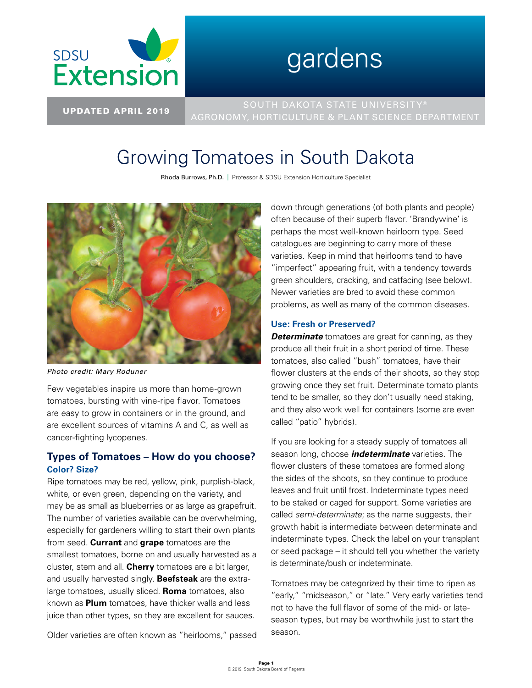

# gardens

UPDATED APRIL 2019 AGRONOMY, HORTICULTURE & PLANT SCIENCE DEPARTMENT

# Growing Tomatoes in South Dakota

Rhoda Burrows, Ph.D. | Professor & SDSU Extension Horticulture Specialist



*Photo credit: Mary Roduner*

Few vegetables inspire us more than home-grown tomatoes, bursting with vine-ripe flavor. Tomatoes are easy to grow in containers or in the ground, and are excellent sources of vitamins A and C, as well as cancer-fighting lycopenes.

# **Types of Tomatoes – How do you choose? Color? Size?**

Ripe tomatoes may be red, yellow, pink, purplish-black, white, or even green, depending on the variety, and may be as small as blueberries or as large as grapefruit. The number of varieties available can be overwhelming, especially for gardeners willing to start their own plants from seed. **Currant** and **grape** tomatoes are the smallest tomatoes, borne on and usually harvested as a cluster, stem and all. **Cherry** tomatoes are a bit larger, and usually harvested singly. **Beefsteak** are the extralarge tomatoes, usually sliced. **Roma** tomatoes, also known as **Plum** tomatoes, have thicker walls and less juice than other types, so they are excellent for sauces.

Older varieties are often known as "heirlooms," passed

down through generations (of both plants and people) often because of their superb flavor. 'Brandywine' is perhaps the most well-known heirloom type. Seed catalogues are beginning to carry more of these varieties. Keep in mind that heirlooms tend to have "imperfect" appearing fruit, with a tendency towards green shoulders, cracking, and catfacing (see below). Newer varieties are bred to avoid these common problems, as well as many of the common diseases.

#### **Use: Fresh or Preserved?**

**Determinate** tomatoes are great for canning, as they produce all their fruit in a short period of time. These tomatoes, also called "bush" tomatoes, have their flower clusters at the ends of their shoots, so they stop growing once they set fruit. Determinate tomato plants tend to be smaller, so they don't usually need staking, and they also work well for containers (some are even called "patio" hybrids).

If you are looking for a steady supply of tomatoes all season long, choose *indeterminate* varieties. The flower clusters of these tomatoes are formed along the sides of the shoots, so they continue to produce leaves and fruit until frost. Indeterminate types need to be staked or caged for support. Some varieties are called *semi-determinate*; as the name suggests, their growth habit is intermediate between determinate and indeterminate types. Check the label on your transplant or seed package – it should tell you whether the variety is determinate/bush or indeterminate.

Tomatoes may be categorized by their time to ripen as "early," "midseason," or "late." Very early varieties tend not to have the full flavor of some of the mid- or lateseason types, but may be worthwhile just to start the season.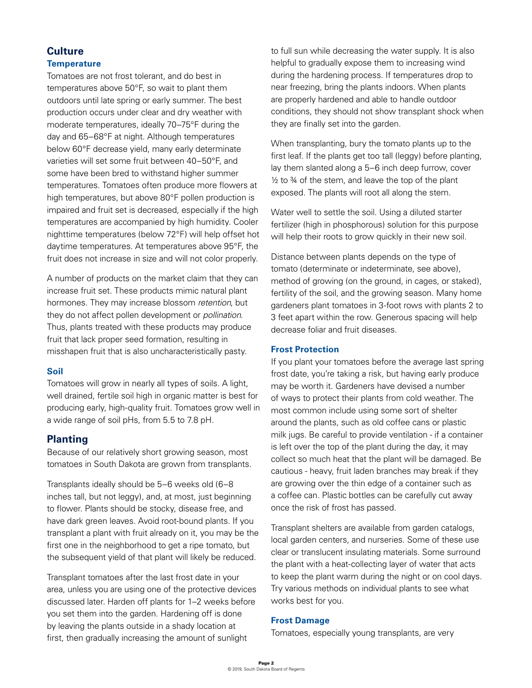# **Culture Temperature**

Tomatoes are not frost tolerant, and do best in temperatures above 50°F, so wait to plant them outdoors until late spring or early summer. The best production occurs under clear and dry weather with moderate temperatures, ideally 70–75°F during the day and 65–68°F at night. Although temperatures below 60°F decrease yield, many early determinate varieties will set some fruit between 40–50°F, and some have been bred to withstand higher summer temperatures. Tomatoes often produce more flowers at high temperatures, but above 80°F pollen production is impaired and fruit set is decreased, especially if the high temperatures are accompanied by high humidity. Cooler nighttime temperatures (below 72°F) will help offset hot daytime temperatures. At temperatures above 95°F, the fruit does not increase in size and will not color properly.

A number of products on the market claim that they can increase fruit set. These products mimic natural plant hormones. They may increase blossom *retention*, but they do not affect pollen development or *pollination*. Thus, plants treated with these products may produce fruit that lack proper seed formation, resulting in misshapen fruit that is also uncharacteristically pasty.

### **Soil**

Tomatoes will grow in nearly all types of soils. A light, well drained, fertile soil high in organic matter is best for producing early, high-quality fruit. Tomatoes grow well in a wide range of soil pHs, from 5.5 to 7.8 pH.

# **Planting**

Because of our relatively short growing season, most tomatoes in South Dakota are grown from transplants.

Transplants ideally should be 5–6 weeks old (6–8 inches tall, but not leggy), and, at most, just beginning to flower. Plants should be stocky, disease free, and have dark green leaves. Avoid root-bound plants. If you transplant a plant with fruit already on it, you may be the first one in the neighborhood to get a ripe tomato, but the subsequent yield of that plant will likely be reduced.

Transplant tomatoes after the last frost date in your area, unless you are using one of the protective devices discussed later. Harden off plants for 1–2 weeks before you set them into the garden. Hardening off is done by leaving the plants outside in a shady location at first, then gradually increasing the amount of sunlight

to full sun while decreasing the water supply. It is also helpful to gradually expose them to increasing wind during the hardening process. If temperatures drop to near freezing, bring the plants indoors. When plants are properly hardened and able to handle outdoor conditions, they should not show transplant shock when they are finally set into the garden.

When transplanting, bury the tomato plants up to the first leaf. If the plants get too tall (leggy) before planting, lay them slanted along a 5–6 inch deep furrow, cover  $\frac{1}{2}$  to  $\frac{3}{4}$  of the stem, and leave the top of the plant exposed. The plants will root all along the stem.

Water well to settle the soil. Using a diluted starter fertilizer (high in phosphorous) solution for this purpose will help their roots to grow quickly in their new soil.

Distance between plants depends on the type of tomato (determinate or indeterminate, see above), method of growing (on the ground, in cages, or staked), fertility of the soil, and the growing season. Many home gardeners plant tomatoes in 3-foot rows with plants 2 to 3 feet apart within the row. Generous spacing will help decrease foliar and fruit diseases.

### **Frost Protection**

If you plant your tomatoes before the average last spring frost date, you're taking a risk, but having early produce may be worth it. Gardeners have devised a number of ways to protect their plants from cold weather. The most common include using some sort of shelter around the plants, such as old coffee cans or plastic milk jugs. Be careful to provide ventilation - if a container is left over the top of the plant during the day, it may collect so much heat that the plant will be damaged. Be cautious - heavy, fruit laden branches may break if they are growing over the thin edge of a container such as a coffee can. Plastic bottles can be carefully cut away once the risk of frost has passed.

Transplant shelters are available from garden catalogs, local garden centers, and nurseries. Some of these use clear or translucent insulating materials. Some surround the plant with a heat-collecting layer of water that acts to keep the plant warm during the night or on cool days. Try various methods on individual plants to see what works best for you.

### **Frost Damage**

Tomatoes, especially young transplants, are very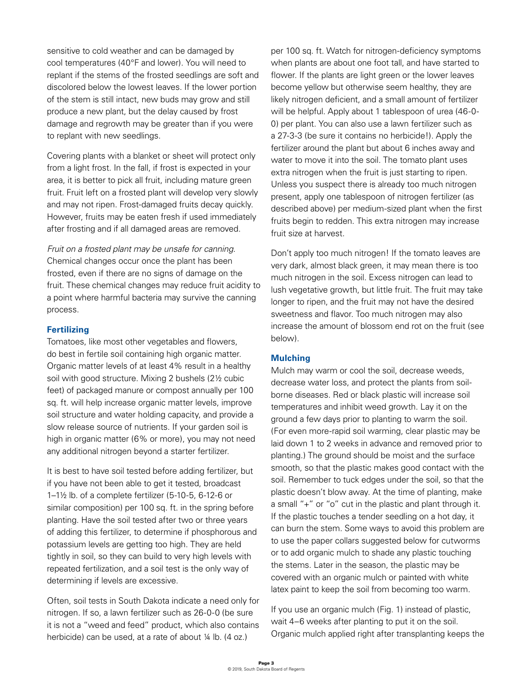sensitive to cold weather and can be damaged by cool temperatures (40°F and lower). You will need to replant if the stems of the frosted seedlings are soft and discolored below the lowest leaves. If the lower portion of the stem is still intact, new buds may grow and still produce a new plant, but the delay caused by frost damage and regrowth may be greater than if you were to replant with new seedlings.

Covering plants with a blanket or sheet will protect only from a light frost. In the fall, if frost is expected in your area, it is better to pick all fruit, including mature green fruit. Fruit left on a frosted plant will develop very slowly and may not ripen. Frost-damaged fruits decay quickly. However, fruits may be eaten fresh if used immediately after frosting and if all damaged areas are removed.

*Fruit on a frosted plant may be unsafe for canning.* Chemical changes occur once the plant has been frosted, even if there are no signs of damage on the fruit. These chemical changes may reduce fruit acidity to a point where harmful bacteria may survive the canning process.

#### **Fertilizing**

Tomatoes, like most other vegetables and flowers, do best in fertile soil containing high organic matter. Organic matter levels of at least 4% result in a healthy soil with good structure. Mixing 2 bushels (2½ cubic feet) of packaged manure or compost annually per 100 sq. ft. will help increase organic matter levels, improve soil structure and water holding capacity, and provide a slow release source of nutrients. If your garden soil is high in organic matter (6% or more), you may not need any additional nitrogen beyond a starter fertilizer.

It is best to have soil tested before adding fertilizer, but if you have not been able to get it tested, broadcast 1–1½ lb. of a complete fertilizer (5-10-5, 6-12-6 or similar composition) per 100 sq. ft. in the spring before planting. Have the soil tested after two or three years of adding this fertilizer, to determine if phosphorous and potassium levels are getting too high. They are held tightly in soil, so they can build to very high levels with repeated fertilization, and a soil test is the only way of determining if levels are excessive.

Often, soil tests in South Dakota indicate a need only for nitrogen. If so, a lawn fertilizer such as 26-0-0 (be sure it is not a "weed and feed" product, which also contains herbicide) can be used, at a rate of about 1/4 lb. (4 oz.)

per 100 sq. ft. Watch for nitrogen-deficiency symptoms when plants are about one foot tall, and have started to flower. If the plants are light green or the lower leaves become yellow but otherwise seem healthy, they are likely nitrogen deficient, and a small amount of fertilizer will be helpful. Apply about 1 tablespoon of urea (46-0- 0) per plant. You can also use a lawn fertilizer such as a 27-3-3 (be sure it contains no herbicide!). Apply the fertilizer around the plant but about 6 inches away and water to move it into the soil. The tomato plant uses extra nitrogen when the fruit is just starting to ripen. Unless you suspect there is already too much nitrogen present, apply one tablespoon of nitrogen fertilizer (as described above) per medium-sized plant when the first fruits begin to redden. This extra nitrogen may increase fruit size at harvest.

Don't apply too much nitrogen! If the tomato leaves are very dark, almost black green, it may mean there is too much nitrogen in the soil. Excess nitrogen can lead to lush vegetative growth, but little fruit. The fruit may take longer to ripen, and the fruit may not have the desired sweetness and flavor. Too much nitrogen may also increase the amount of blossom end rot on the fruit (see below).

### **Mulching**

Mulch may warm or cool the soil, decrease weeds, decrease water loss, and protect the plants from soilborne diseases. Red or black plastic will increase soil temperatures and inhibit weed growth. Lay it on the ground a few days prior to planting to warm the soil. (For even more-rapid soil warming, clear plastic may be laid down 1 to 2 weeks in advance and removed prior to planting.) The ground should be moist and the surface smooth, so that the plastic makes good contact with the soil. Remember to tuck edges under the soil, so that the plastic doesn't blow away. At the time of planting, make a small "+" or "o" cut in the plastic and plant through it. If the plastic touches a tender seedling on a hot day, it can burn the stem. Some ways to avoid this problem are to use the paper collars suggested below for cutworms or to add organic mulch to shade any plastic touching the stems. Later in the season, the plastic may be covered with an organic mulch or painted with white latex paint to keep the soil from becoming too warm.

If you use an organic mulch (Fig. 1) instead of plastic, wait 4–6 weeks after planting to put it on the soil. Organic mulch applied right after transplanting keeps the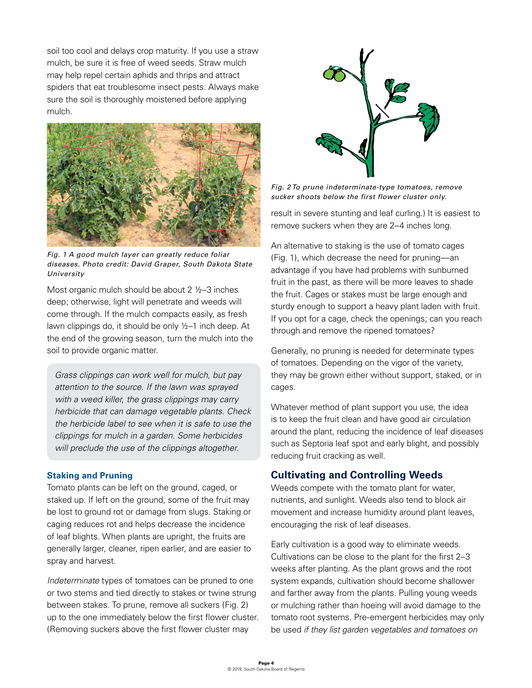soil too cool and delays crop maturity. If you use a straw mulch, be sure it is free of weed seeds. Straw mulch may help repel certain aphids and thrips and attract spiders that eat troublesome insect pests. Always make sure the soil is thoroughly moistened before applying mulch.



*Fig. 1 A good mulch layer can greatly reduce foliar diseases. Photo credit: David Graper, South Dakota State University*

Most organic mulch should be about 2 ½–3 inches deep; otherwise, light will penetrate and weeds will come through. If the mulch compacts easily, as fresh lawn clippings do, it should be only ½–1 inch deep. At the end of the growing season, turn the mulch into the soil to provide organic matter.

*Grass clippings can work well for mulch, but pay attention to the source. If the lawn was sprayed with a weed killer, the grass clippings may carry herbicide that can damage vegetable plants. Check the herbicide label to see when it is safe to use the clippings for mulch in a garden. Some herbicides will preclude the use of the clippings altogether.*

#### **Staking and Pruning**

Tomato plants can be left on the ground, caged, or staked up. If left on the ground, some of the fruit may be lost to ground rot or damage from slugs. Staking or caging reduces rot and helps decrease the incidence of leaf blights. When plants are upright, the fruits are generally larger, cleaner, ripen earlier, and are easier to spray and harvest.

*Indeterminate* types of tomatoes can be pruned to one or two stems and tied directly to stakes or twine strung between stakes. To prune, remove all suckers (Fig. 2) up to the one immediately below the first flower cluster. (Removing suckers above the first flower cluster may



*Fig. 2 To prune indeterminate-type tomatoes, remove sucker shoots below the first flower cluster only.*

result in severe stunting and leaf curling.) It is easiest to remove suckers when they are 2–4 inches long.

An alternative to staking is the use of tomato cages (Fig. 1), which decrease the need for pruning—an advantage if you have had problems with sunburned fruit in the past, as there will be more leaves to shade the fruit. Cages or stakes must be large enough and sturdy enough to support a heavy plant laden with fruit. If you opt for a cage, check the openings; can you reach through and remove the ripened tomatoes?

Generally, no pruning is needed for determinate types of tomatoes. Depending on the vigor of the variety, they may be grown either without support, staked, or in cages.

Whatever method of plant support you use, the idea is to keep the fruit clean and have good air circulation around the plant, reducing the incidence of leaf diseases such as Septoria leaf spot and early blight, and possibly reducing fruit cracking as well.

# **Cultivating and Controlling Weeds**

Weeds compete with the tomato plant for water, nutrients, and sunlight. Weeds also tend to block air movement and increase humidity around plant leaves, encouraging the risk of leaf diseases.

Early cultivation is a good way to eliminate weeds. Cultivations can be close to the plant for the first 2–3 weeks after planting. As the plant grows and the root system expands, cultivation should become shallower and farther away from the plants. Pulling young weeds or mulching rather than hoeing will avoid damage to the tomato root systems. Pre-emergent herbicides may only be used *if they list garden vegetables and tomatoes on*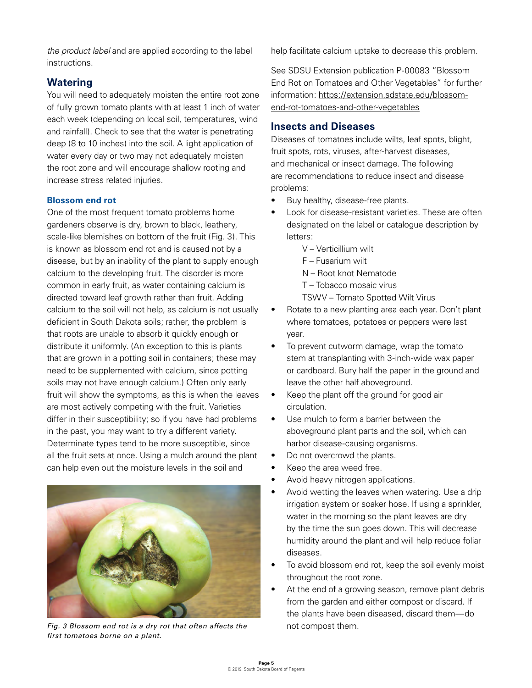*the product label* and are applied according to the label instructions.

# **Watering**

You will need to adequately moisten the entire root zone of fully grown tomato plants with at least 1 inch of water each week (depending on local soil, temperatures, wind and rainfall). Check to see that the water is penetrating deep (8 to 10 inches) into the soil. A light application of water every day or two may not adequately moisten the root zone and will encourage shallow rooting and increase stress related injuries.

#### **Blossom end rot**

One of the most frequent tomato problems home gardeners observe is dry, brown to black, leathery, scale-like blemishes on bottom of the fruit (Fig. 3). This is known as blossom end rot and is caused not by a disease, but by an inability of the plant to supply enough calcium to the developing fruit. The disorder is more common in early fruit, as water containing calcium is directed toward leaf growth rather than fruit. Adding calcium to the soil will not help, as calcium is not usually deficient in South Dakota soils; rather, the problem is that roots are unable to absorb it quickly enough or distribute it uniformly. (An exception to this is plants that are grown in a potting soil in containers; these may need to be supplemented with calcium, since potting soils may not have enough calcium.) Often only early fruit will show the symptoms, as this is when the leaves are most actively competing with the fruit. Varieties differ in their susceptibility; so if you have had problems in the past, you may want to try a different variety. Determinate types tend to be more susceptible, since all the fruit sets at once. Using a mulch around the plant can help even out the moisture levels in the soil and



*Fig. 3 Blossom end rot is a dry rot that often affects the first tomatoes borne on a plant.*

help facilitate calcium uptake to decrease this problem.

See SDSU Extension publication P-00083 "Blossom End Rot on Tomatoes and Other Vegetables" for further information: [https://extension.sdstate.edu/blossom](https://extension.sdstate.edu/blossom-end-rot-tomatoes-and-other-vegetables)[end-rot-tomatoes-and-other-vegetables](https://extension.sdstate.edu/blossom-end-rot-tomatoes-and-other-vegetables)

#### **Insects and Diseases**

Diseases of tomatoes include wilts, leaf spots, blight, fruit spots, rots, viruses, after-harvest diseases, and mechanical or insect damage. The following are recommendations to reduce insect and disease problems:

- Buy healthy, disease-free plants.
- Look for disease-resistant varieties. These are often designated on the label or catalogue description by letters:
	- V Verticillium wilt
	- F Fusarium wilt
	- N Root knot Nematode
	- T Tobacco mosaic virus
	- TSWV Tomato Spotted Wilt Virus
- Rotate to a new planting area each year. Don't plant where tomatoes, potatoes or peppers were last year.
- To prevent cutworm damage, wrap the tomato stem at transplanting with 3-inch-wide wax paper or cardboard. Bury half the paper in the ground and leave the other half aboveground.
- Keep the plant off the ground for good air circulation.
- Use mulch to form a barrier between the aboveground plant parts and the soil, which can harbor disease-causing organisms.
- Do not overcrowd the plants.
- Keep the area weed free.
- Avoid heavy nitrogen applications.
- Avoid wetting the leaves when watering. Use a drip irrigation system or soaker hose. If using a sprinkler, water in the morning so the plant leaves are dry by the time the sun goes down. This will decrease humidity around the plant and will help reduce foliar diseases.
- To avoid blossom end rot, keep the soil evenly moist throughout the root zone.
- At the end of a growing season, remove plant debris from the garden and either compost or discard. If the plants have been diseased, discard them—do not compost them.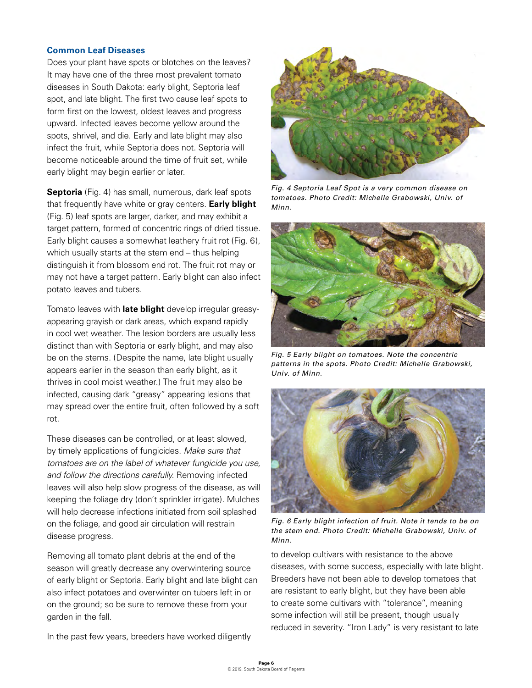#### **Common Leaf Diseases**

Does your plant have spots or blotches on the leaves? It may have one of the three most prevalent tomato diseases in South Dakota: early blight, Septoria leaf spot, and late blight. The first two cause leaf spots to form first on the lowest, oldest leaves and progress upward. Infected leaves become yellow around the spots, shrivel, and die. Early and late blight may also infect the fruit, while Septoria does not. Septoria will become noticeable around the time of fruit set, while early blight may begin earlier or later.

**Septoria** (Fig. 4) has small, numerous, dark leaf spots that frequently have white or gray centers. **Early blight** (Fig. 5) leaf spots are larger, darker, and may exhibit a target pattern, formed of concentric rings of dried tissue. Early blight causes a somewhat leathery fruit rot (Fig. 6), which usually starts at the stem end – thus helping distinguish it from blossom end rot. The fruit rot may or may not have a target pattern. Early blight can also infect potato leaves and tubers.

Tomato leaves with **late blight** develop irregular greasyappearing grayish or dark areas, which expand rapidly in cool wet weather. The lesion borders are usually less distinct than with Septoria or early blight, and may also be on the stems. (Despite the name, late blight usually appears earlier in the season than early blight, as it thrives in cool moist weather.) The fruit may also be infected, causing dark "greasy" appearing lesions that may spread over the entire fruit, often followed by a soft rot.

These diseases can be controlled, or at least slowed, by timely applications of fungicides. *Make sure that tomatoes are on the label of whatever fungicide you use, and follow the directions carefully.* Removing infected leaves will also help slow progress of the disease, as will keeping the foliage dry (don't sprinkler irrigate). Mulches will help decrease infections initiated from soil splashed on the foliage, and good air circulation will restrain disease progress.

Removing all tomato plant debris at the end of the season will greatly decrease any overwintering source of early blight or Septoria. Early blight and late blight can also infect potatoes and overwinter on tubers left in or on the ground; so be sure to remove these from your garden in the fall.

In the past few years, breeders have worked diligently



*Fig. 4 Septoria Leaf Spot is a very common disease on tomatoes. Photo Credit: Michelle Grabowski, Univ. of Minn.*



*Fig. 5 Early blight on tomatoes. Note the concentric patterns in the spots. Photo Credit: Michelle Grabowski, Univ. of Minn.*



*Fig. 6 Early blight infection of fruit. Note it tends to be on the stem end. Photo Credit: Michelle Grabowski, Univ. of Minn.*

to develop cultivars with resistance to the above diseases, with some success, especially with late blight. Breeders have not been able to develop tomatoes that are resistant to early blight, but they have been able to create some cultivars with "tolerance", meaning some infection will still be present, though usually reduced in severity. "Iron Lady" is very resistant to late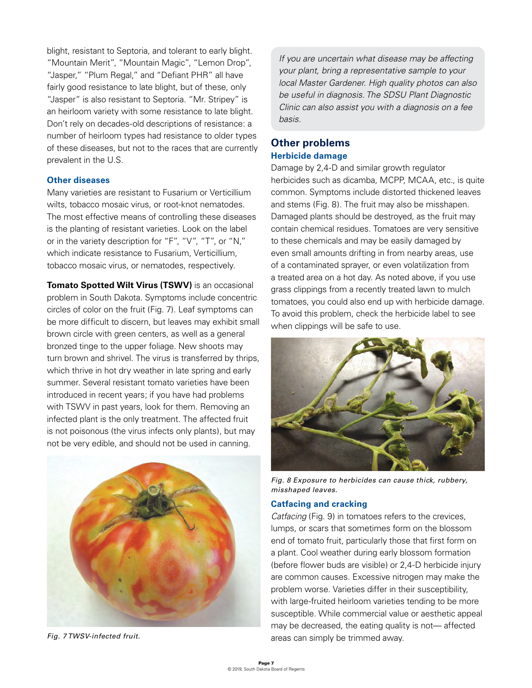blight, resistant to Septoria, and tolerant to early blight. "Mountain Merit", "Mountain Magic", "Lemon Drop", "Jasper," "Plum Regal," and "Defiant PHR" all have fairly good resistance to late blight, but of these, only "Jasper" is also resistant to Septoria. "Mr. Stripey" is an heirloom variety with some resistance to late blight. Don't rely on decades-old descriptions of resistance: a number of heirloom types had resistance to older types of these diseases, but not to the races that are currently prevalent in the U.S.

#### **Other diseases**

Many varieties are resistant to Fusarium or Verticillium wilts, tobacco mosaic virus, or root-knot nematodes. The most effective means of controlling these diseases is the planting of resistant varieties. Look on the label or in the variety description for "F", "V", "T", or "N," which indicate resistance to Fusarium, Verticillium, tobacco mosaic virus, or nematodes, respectively.

**Tomato Spotted Wilt Virus (TSWV)** is an occasional problem in South Dakota. Symptoms include concentric circles of color on the fruit (Fig. 7). Leaf symptoms can be more difficult to discern, but leaves may exhibit small brown circle with green centers, as well as a general bronzed tinge to the upper foliage. New shoots may turn brown and shrivel. The virus is transferred by thrips, which thrive in hot dry weather in late spring and early summer. Several resistant tomato varieties have been introduced in recent years; if you have had problems with TSWV in past years, look for them. Removing an infected plant is the only treatment. The affected fruit is not poisonous (the virus infects only plants), but may not be very edible, and should not be used in canning.



*Fig. 7 TWSV-infected fruit.*

*If you are uncertain what disease may be affecting your plant, bring a representative sample to your local Master Gardener. High quality photos can also be useful in diagnosis. The SDSU Plant Diagnostic Clinic can also assist you with a diagnosis on a fee basis.*

### **Other problems Herbicide damage**

Damage by 2,4-D and similar growth regulator herbicides such as dicamba, MCPP, MCAA, etc., is quite common. Symptoms include distorted thickened leaves and stems (Fig. 8). The fruit may also be misshapen. Damaged plants should be destroyed, as the fruit may contain chemical residues. Tomatoes are very sensitive to these chemicals and may be easily damaged by even small amounts drifting in from nearby areas, use of a contaminated sprayer, or even volatilization from a treated area on a hot day. As noted above, if you use grass clippings from a recently treated lawn to mulch tomatoes, you could also end up with herbicide damage. To avoid this problem, check the herbicide label to see when clippings will be safe to use.



*Fig. 8 Exposure to herbicides can cause thick, rubbery, misshaped leaves.*

#### **Catfacing and cracking**

*Catfacing* (Fig. 9) in tomatoes refers to the crevices, lumps, or scars that sometimes form on the blossom end of tomato fruit, particularly those that first form on a plant. Cool weather during early blossom formation (before flower buds are visible) or 2,4-D herbicide injury are common causes. Excessive nitrogen may make the problem worse. Varieties differ in their susceptibility, with large-fruited heirloom varieties tending to be more susceptible. While commercial value or aesthetic appeal may be decreased, the eating quality is not— affected areas can simply be trimmed away.